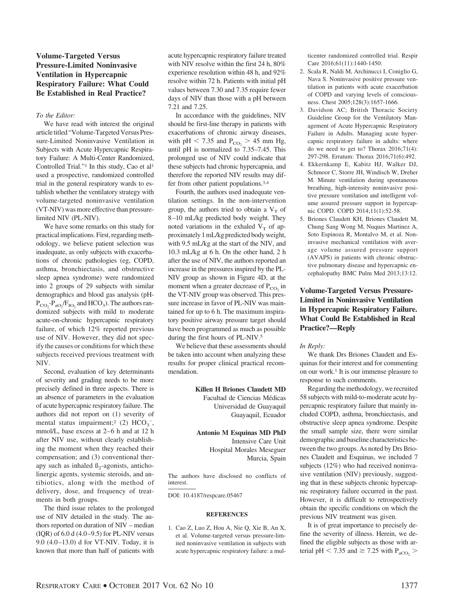# **Volume-Targeted Versus Pressure-Limited Noninvasive Ventilation in Hypercapnic Respiratory Failure: What Could Be Established in Real Practice?**

## *To the Editor:*

We have read with interest the original article titled "Volume-Targeted Versus Pressure-Limited Noninvasive Ventilation in Subjects with Acute Hypercapnic Respiratory Failure: A Multi-Center Randomized, Controlled Trial."1 In this study, Cao et al1 used a prospective, randomized controlled trial in the general respiratory wards to establish whether the ventilatory strategy with volume-targeted noninvasive ventilation (VT-NIV) was more effective than pressurelimited NIV (PL-NIV).

We have some remarks on this study for practical implications. First, regarding methodology, we believe patient selection was inadequate, as only subjects with exacerbations of chronic pathologies (eg, COPD, asthma, bronchiectasis, and obstructive sleep apnea syndrome) were randomized into 2 groups of 29 subjects with similar demographics and blood gas analysis (pH- $P_{CO_2}$ - $P_{ao_2}/F_{IO_2}$  and HCO<sub>3</sub>). The authors randomized subjects with mild to moderate acute-on-chronic hypercapnic respiratory failure, of which 12% reported previous use of NIV. However, they did not specify the causes or conditions for which these subjects received previous treatment with NIV.

Second, evaluation of key determinants of severity and grading needs to be more precisely defined in three aspects. There is an absence of parameters in the evaluation of acute hypercapnic respiratory failure. The authors did not report on (1) severity of mental status impairment;<sup>2</sup> (2)  $HCO<sub>3</sub><sup>-</sup>$ , mmol/L, base excess at 2–6 h and at 12 h after NIV use, without clearly establishing the moment when they reached their compensation; and (3) conventional therapy such as inhaled  $\beta_2$ -agonists, anticholinergic agents, systemic steroids, and antibiotics, along with the method of delivery, dose, and frequency of treatments in both groups.

The third issue relates to the prolonged use of NIV detailed in the study. The authors reported on duration of NIV – median  $(IQR)$  of 6.0 d $(4.0-9.5)$  for PL-NIV versus 9.0  $(4.0 - 13.0)$  d for VT-NIV. Today, it is known that more than half of patients with

acute hypercapnic respiratory failure treated with NIV resolve within the first 24 h, 80% experience resolution within 48 h, and 92% resolve within 72 h. Patients with initial pH values between 7.30 and 7.35 require fewer days of NIV than those with a pH between 7.21 and 7.25.

In accordance with the guidelines, NIV should be first-line therapy in patients with exacerbations of chronic airway diseases, with pH  $\lt$  7.35 and P<sub>CO<sub>2</sub></sub>  $> 45$  mm Hg, until pH is normalized to 7.35–7.45. This prolonged use of NIV could indicate that these subjects had chronic hypercapnia, and therefore the reported NIV results may differ from other patient populations.3,4

Fourth, the authors used inadequate ventilation settings. In the non-intervention group, the authors tried to obtain a  $V_T$  of 8 –10 mL/kg predicted body weight. They noted variations in the exhaled  $V<sub>T</sub>$  of approximately 1 mL/kg predicted body weight, with 9.5 mL/kg at the start of the NIV, and 10.3 mL/kg at 6 h. On the other hand, 2 h after the use of NIV, the authors reported an increase in the pressures inspired by the PL-NIV group as shown in Figure 4D, at the moment when a greater decrease of  $P_{CO_2}$  in the VT-NIV group was observed. This pressure increase in favor of PL-NIV was maintained for up to 6 h. The maximum inspiratory positive airway pressure target should have been programmed as much as possible during the first hours of PL-NIV.5

We believe that these assessments should be taken into account when analyzing these results for proper clinical practical recommendation.

# **Killen H Briones Claudett MD**

Facultad de Ciencias Médicas Universidad de Guayaquil Guayaquil, Ecuador

# **Antonio M Esquinas MD PhD** Intensive Care Unit Hospital Morales Meseguer Murcia, Spain

The authors have disclosed no conflicts of interest.

DOI: 10.4187/respcare.05467

#### **REFERENCES**

1. Cao Z, Luo Z, Hou A, Nie Q, Xie B, An X, et al. Volume-targeted versus pressure-limited noninvasive ventilation in subjects with acute hypercapnic respiratory failure: a multicenter randomized controlled trial. Respir Care 2016;61(11):1440-1450.

- 2. Scala R, Naldi M, Archinucci I, Coniglio G, Nava S. Noninvasive positive pressure ventilation in patients with acute exacerbation of COPD and varying levels of consciousness. Chest 2005;128(3):1657-1666.
- 3. Davidson AC; British Thoracic Society Guideline Group for the Ventilatory Management of Acute Hypercapnic Respiratory Failure in Adults. Managing acute hypercapnic respiratory failure in adults: where do we need to get to? Thorax 2016;71(4): 297-298. Erratum: Thorax 2016;71(6):492.
- 4. Ekkernkamp E, Kabitz HJ, Walker DJ, Schmoor C, Storre JH, Windisch W, Dreher M. Minute ventilation during spontaneous breathing, high-intensity noninvasive positive pressure ventilation and intelligent volume assured pressure support in hypercapnic COPD. COPD 2014;11(1):52-58.
- 5. Briones Claudett KH, Briones Claudett M, Chung Sang Wong M, Nuques Martinez A, Soto Espinoza R, Montalvo M, et al. Noninvasive mechanical ventilation with average volume assured pressure support (AVAPS) in patients with chronic obstructive pulmonary disease and hypercapnic encephalopathy BMC Pulm Med 2013;13:12.

# **Volume-Targeted Versus Pressure-Limited in Noninvasive Ventilation in Hypercapnic Respiratory Failure. What Could Be Established in Real Practice?—Reply**

### *In Reply:*

We thank Drs Briones Claudett and Esquinas for their interest and for commenting on our work.1 It is our immense pleasure to response to such comments.

Regarding the methodology, we recruited 58 subjects with mild-to-moderate acute hypercapnic respiratory failure that mainly included COPD, asthma, bronchiectasis, and obstructive sleep apnea syndrome. Despite the small sample size, there were similar demographic and baseline characteristics between the two groups. As noted by Drs Briones Claudett and Esquinas, we included 7 subjects (12%) who had received noninvasive ventilation (NIV) previously, suggesting that in these subjects chronic hypercapnic respiratory failure occurred in the past. However, it is difficult to retrospectively obtain the specific conditions on which the previous NIV treatment was given.

It is of great importance to precisely define the severity of illness. Herein, we defined the eligible subjects as those with arterial pH  $\lt$  7.35 and  $\geq$  7.25 with P<sub>aCO<sub>2</sub></sub>  $>$